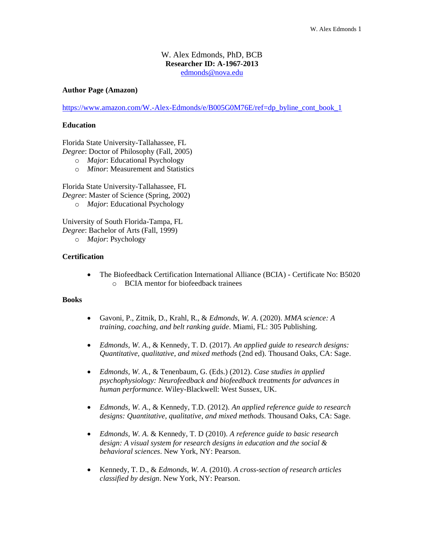# W. Alex Edmonds, PhD, BCB **Researcher ID: A-1967-2013** [edmonds@nova.edu](mailto:edmonds@nova.edu)

#### **Author Page (Amazon)**

[https://www.amazon.com/W.-Alex-Edmonds/e/B005G0M76E/ref=dp\\_byline\\_cont\\_book\\_1](https://www.amazon.com/W.-Alex-Edmonds/e/B005G0M76E/ref=dp_byline_cont_book_1)

# **Education**

Florida State University-Tallahassee, FL *Degree*: Doctor of Philosophy (Fall, 2005)

- o *Major*: Educational Psychology
- o *Minor*: Measurement and Statistics

Florida State University-Tallahassee, FL *Degree*: Master of Science (Spring, 2002) o *Major*: Educational Psychology

University of South Florida-Tampa, FL *Degree*: Bachelor of Arts (Fall, 1999)

o *Major*: Psychology

# **Certification**

• The Biofeedback Certification International Alliance (BCIA) - Certificate No: B5020 o BCIA mentor for biofeedback trainees

#### **Books**

- Gavoni, P., Zitnik, D., Krahl, R., & *Edmonds, W. A*. (2020). *MMA science: A training, coaching, and belt ranking guide*. Miami, FL: 305 Publishing.
- *Edmonds, W. A*., & Kennedy, T. D. (2017). *An applied guide to research designs: Quantitative, qualitative, and mixed methods* (2nd ed). Thousand Oaks, CA: Sage.
- *Edmonds, W. A.,* & Tenenbaum, G. (Eds.) (2012). *Case studies in applied psychophysiology: Neurofeedback and biofeedback treatments for advances in human performance.* Wiley-Blackwell: West Sussex, UK.
- *Edmonds, W. A*., & Kennedy, T.D. (2012). *An applied reference guide to research designs: Quantitative, qualitative, and mixed methods.* Thousand Oaks, CA: Sage.
- *Edmonds, W. A*. & Kennedy, T. D (2010). *A reference guide to basic research design: A visual system for research designs in education and the social & behavioral sciences*. New York, NY: Pearson.
- Kennedy, T. D., & *Edmonds, W. A*. (2010). *A cross-section of research articles classified by design*. New York, NY: Pearson.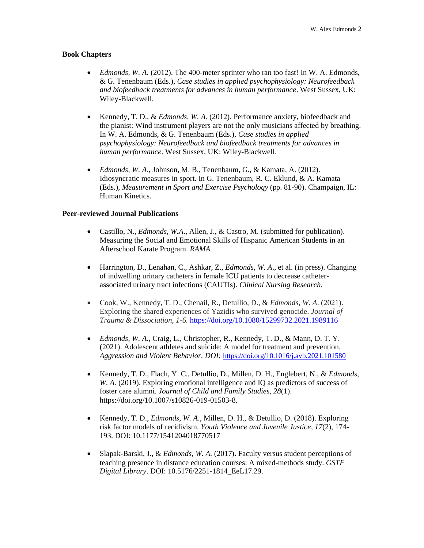#### **Book Chapters**

- *Edmonds, W. A.* (2012). The 400-meter sprinter who ran too fast! In W. A. Edmonds, & G. Tenenbaum (Eds.), *Case studies in applied psychophysiology: Neurofeedback and biofeedback treatments for advances in human performance*. West Sussex, UK: Wiley-Blackwell.
- Kennedy, T. D., & *Edmonds, W. A.* (2012). Performance anxiety, biofeedback and the pianist: Wind instrument players are not the only musicians affected by breathing. In W. A. Edmonds, & G. Tenenbaum (Eds.), *Case studies in applied psychophysiology: Neurofeedback and biofeedback treatments for advances in human performance*. West Sussex, UK: Wiley-Blackwell.
- *Edmonds, W. A*., Johnson, M. B., Tenenbaum, G., & Kamata, A. (2012). Idiosyncratic measures in sport. In G. Tenenbaum, R. C. Eklund, & A. Kamata (Eds.), *Measurement in Sport and Exercise Psychology* (pp. 81-90). Champaign, IL: Human Kinetics.

# **Peer-reviewed Journal Publications**

- Castillo, N., *Edmonds, W.A*., Allen, J., & Castro, M. (submitted for publication). Measuring the Social and Emotional Skills of Hispanic American Students in an Afterschool Karate Program. *RAMA*
- Harrington, D., Lenahan, C., Ashkar, Z., *Edmonds, W. A*., et al. (in press). Changing of indwelling urinary catheters in female ICU patients to decrease catheterassociated urinary tract infections (CAUTIs). *Clinical Nursing Research.*
- Cook, W., Kennedy, T. D., Chenail, R., Detullio, D., & *Edmonds, W. A*. (2021). Exploring the shared experiences of Yazidis who survived genocide. *Journal of Trauma & Dissociation, 1-6.* [https://doi.org/10.1080/15299732.2021.1989116](https://nam10.safelinks.protection.outlook.com/?url=https%3A%2F%2Fdoi.org%2F10.1080%2F15299732.2021.1989116&data=04%7C01%7Cedmonds%40nova.edu%7Cfc6523dd293d4757144508d994f2af8b%7C2c2b2d312e3e4df1b571fb37c042ff1b%7C1%7C0%7C637704592499703807%7CUnknown%7CTWFpbGZsb3d8eyJWIjoiMC4wLjAwMDAiLCJQIjoiV2luMzIiLCJBTiI6Ik1haWwiLCJXVCI6Mn0%3D%7C1000&sdata=md%2Fj8hUTD%2BE9vPPrXaUYl3wTu7c4vEyip%2Bkp2KFXa1I%3D&reserved=0)
- *Edmonds, W. A*., Craig, L., Christopher, R., Kennedy, T. D., & Mann, D. T. Y. (2021). Adolescent athletes and suicide: A model for treatment and prevention. *Aggression and Violent Behavior. DOI:* <https://doi.org/10.1016/j.avb.2021.101580>
- Kennedy, T. D., Flach, Y. C., Detullio, D., Millen, D. H., Englebert, N., & *Edmonds, W. A.* (2019). Exploring emotional intelligence and IQ as predictors of success of foster care alumni. *Journal of Child and Family Studies, 28*(1). https://doi.org/10.1007/s10826-019-01503-8.
- Kennedy, T. D., *Edmonds, W. A*., Millen, D. H., & Detullio, D. (2018). Exploring risk factor models of recidivism. *Youth Violence and Juvenile Justice, 17*(2), 174- 193. DOI: 10.1177/1541204018770517
- Slapak-Barski, J., & *Edmonds, W. A.* (2017). Faculty versus student perceptions of teaching presence in distance education courses: A mixed-methods study. *GSTF Digital Library*. DOI: 10.5176/2251-1814\_EeL17.29.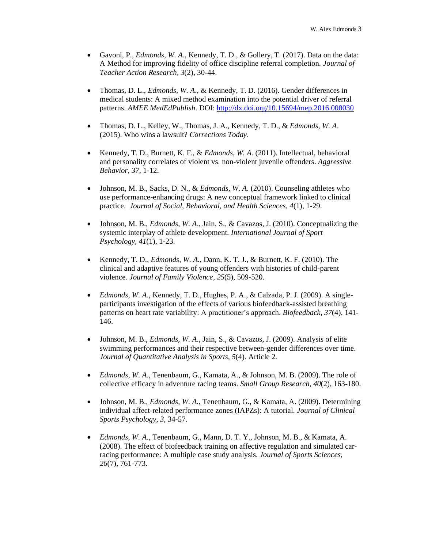- Gavoni, P., *Edmonds, W. A*., Kennedy, T. D., & Gollery, T. (2017). Data on the data: A Method for improving fidelity of office discipline referral completion. *Journal of Teacher Action Research, 3*(2), 30-44.
- Thomas, D. L., *Edmonds, W. A*., & Kennedy, T. D. (2016). Gender differences in medical students: A mixed method examination into the potential driver of referral patterns. *AMEE MedEdPublish*. DOI[: http://dx.doi.org/10.15694/mep.2016.000030](http://dx.doi.org/10.15694/mep.2016.000030)
- Thomas, D. L., Kelley, W., Thomas, J. A., Kennedy, T. D., & *Edmonds, W. A*. (2015). Who wins a lawsuit? *Corrections Today*.
- Kennedy, T. D., Burnett, K. F., & *Edmonds, W. A.* (2011). Intellectual, behavioral and personality correlates of violent vs. non-violent juvenile offenders. *Aggressive Behavior, 37,* 1-12.
- Johnson, M. B., Sacks, D. N., & *Edmonds, W. A*. (2010). Counseling athletes who use performance-enhancing drugs: A new conceptual framework linked to clinical practice. *Journal of Social, Behavioral, and Health Sciences, 4*(1), 1-29.
- Johnson, M. B., *Edmonds, W. A*., Jain, S., & Cavazos, J. (2010). Conceptualizing the systemic interplay of athlete development. *International Journal of Sport Psychology, 41*(1), 1-23.
- Kennedy, T. D., *Edmonds, W. A.*, Dann, K. T. J., & Burnett, K. F. (2010). The clinical and adaptive features of young offenders with histories of child-parent violence. *Journal of Family Violence, 25*(5), 509-520.
- *Edmonds*, *W. A*., Kennedy, T. D., Hughes, P. A., & Calzada, P. J. (2009). A singleparticipants investigation of the effects of various biofeedback-assisted breathing patterns on heart rate variability: A practitioner's approach. *Biofeedback, 37*(4), 141- 146.
- Johnson, M. B., *Edmonds, W. A*., Jain, S., & Cavazos, J. (2009). Analysis of elite swimming performances and their respective between-gender differences over time. *Journal of Quantitative Analysis in Sports, 5*(4)*.* Article 2.
- *Edmonds*, *W. A*., Tenenbaum, G., Kamata, A., & Johnson, M. B. (2009). The role of collective efficacy in adventure racing teams. *Small Group Research, 40*(2), 163-180.
- Johnson, M. B., *Edmonds*, *W. A.*, Tenenbaum, G., & Kamata, A. (2009). Determining individual affect-related performance zones (IAPZs): A tutorial. *Journal of Clinical Sports Psychology, 3,* 34-57.
- *Edmonds*, *W. A.*, Tenenbaum, G., Mann, D. T. Y., Johnson, M. B., & Kamata, A. (2008). The effect of biofeedback training on affective regulation and simulated carracing performance: A multiple case study analysis. *Journal of Sports Sciences, 26*(7), 761-773.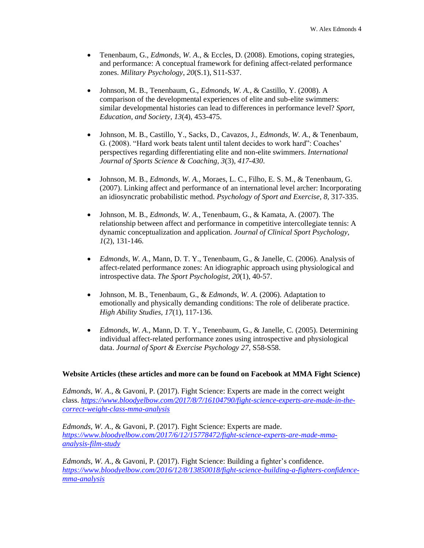- Tenenbaum, G., *Edmonds*, *W. A*., & Eccles, D. (2008). Emotions, coping strategies, and performance: A conceptual framework for defining affect-related performance zones. *Military Psychology, 20*(S.1), S11-S37.
- Johnson, M. B., Tenenbaum, G., *Edmonds*, *W. A.*, & Castillo, Y. (2008). A comparison of the developmental experiences of elite and sub-elite swimmers: similar developmental histories can lead to differences in performance level? *Sport, Education, and Society, 13*(4), 453-475.
- Johnson, M. B., Castillo, Y., Sacks, D., Cavazos, J., *Edmonds, W. A.,* & Tenenbaum, G. (2008). "Hard work beats talent until talent decides to work hard": Coaches' perspectives regarding differentiating elite and non-elite swimmers. *International Journal of Sports Science & Coaching, 3*(3), *417-430*.
- Johnson, M. B., *Edmonds, W. A.,* Moraes, L. C., Filho, E. S. M., & Tenenbaum, G. (2007). Linking affect and performance of an international level archer: Incorporating an idiosyncratic probabilistic method. *Psychology of Sport and Exercise*, *8*, 317-335.
- Johnson, M. B., *Edmonds*, *W. A.*, Tenenbaum, G., & Kamata, A. (2007). The relationship between affect and performance in competitive intercollegiate tennis: A dynamic conceptualization and application. *Journal of Clinical Sport Psychology, 1*(2), 131-146.
- *Edmonds*, *W. A*., Mann, D. T. Y., Tenenbaum, G., & Janelle, C. (2006). Analysis of affect-related performance zones: An idiographic approach using physiological and introspective data. *The Sport Psychologist, 20*(1), 40-57.
- Johnson, M. B., Tenenbaum, G., & *Edmonds*, *W. A*. (2006). Adaptation to emotionally and physically demanding conditions: The role of deliberate practice. *High Ability Studies, 17*(1), 117-136.
- *Edmonds*, *W. A*., Mann, D. T. Y., Tenenbaum, G., & Janelle, C. (2005). Determining individual affect-related performance zones using introspective and physiological data. *Journal of Sport & Exercise Psychology 27*, S58-S58.

# **Website Articles (these articles and more can be found on Facebook at MMA Fight Science)**

*Edmonds, W. A*., & Gavoni, P. (2017). Fight Science: Experts are made in the correct weight class. *[https://www.bloodyelbow.com/2017/8/7/16104790/fight-science-experts-are-made-in-the](https://www.bloodyelbow.com/2017/8/7/16104790/fight-science-experts-are-made-in-the-correct-weight-class-mma-analysis)[correct-weight-class-mma-analysis](https://www.bloodyelbow.com/2017/8/7/16104790/fight-science-experts-are-made-in-the-correct-weight-class-mma-analysis)*

*Edmonds, W. A*., & Gavoni, P. (2017). Fight Science: Experts are made. *[https://www.bloodyelbow.com/2017/6/12/15778472/fight-science-experts-are-made-mma](https://www.bloodyelbow.com/2017/6/12/15778472/fight-science-experts-are-made-mma-analysis-film-study)[analysis-film-study](https://www.bloodyelbow.com/2017/6/12/15778472/fight-science-experts-are-made-mma-analysis-film-study)*

*Edmonds, W. A*., & Gavoni, P. (2017). Fight Science: Building a fighter's confidence. *[https://www.bloodyelbow.com/2016/12/8/13850018/fight-science-building-a-fighters-confidence](https://www.bloodyelbow.com/2016/12/8/13850018/fight-science-building-a-fighters-confidence-mma-analysis)[mma-analysis](https://www.bloodyelbow.com/2016/12/8/13850018/fight-science-building-a-fighters-confidence-mma-analysis)*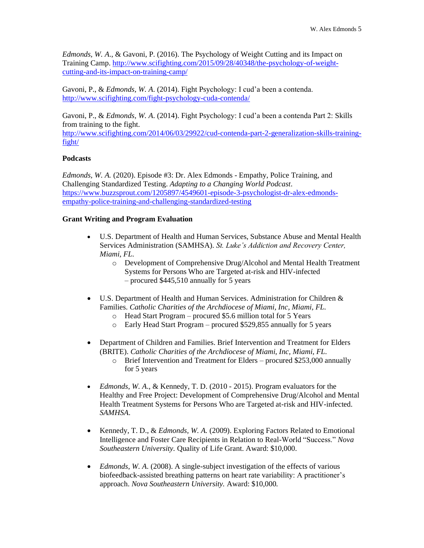*Edmonds, W. A*., & Gavoni, P. (2016). The Psychology of Weight Cutting and its Impact on Training Camp. [http://www.scifighting.com/2015/09/28/40348/the-psychology-of-weight](http://www.scifighting.com/2015/09/28/40348/the-psychology-of-weight-cutting-and-its-impact-on-training-camp/)[cutting-and-its-impact-on-training-camp/](http://www.scifighting.com/2015/09/28/40348/the-psychology-of-weight-cutting-and-its-impact-on-training-camp/)

Gavoni, P., & *Edmonds, W. A*. (2014). Fight Psychology: I cud'a been a contenda. <http://www.scifighting.com/fight-psychology-cuda-contenda/>

Gavoni, P., & *Edmonds, W. A*. (2014). Fight Psychology: I cud'a been a contenda Part 2: Skills from training to the fight.

[http://www.scifighting.com/2014/06/03/29922/cud-contenda-part-2-generalization-skills-training](http://www.scifighting.com/2014/06/03/29922/cud-contenda-part-2-generalization-skills-training-fight/)[fight/](http://www.scifighting.com/2014/06/03/29922/cud-contenda-part-2-generalization-skills-training-fight/)

# **Podcasts**

*Edmonds, W. A.* (2020). Episode #3: Dr. Alex Edmonds - Empathy, Police Training, and Challenging Standardized Testing. *Adapting to a Changing World Podcast*. [https://www.buzzsprout.com/1205897/4549601-episode-3-psychologist-dr-alex-edmonds](https://www.buzzsprout.com/1205897/4549601-episode-3-psychologist-dr-alex-edmonds-empathy-police-training-and-challenging-standardized-testing)[empathy-police-training-and-challenging-standardized-testing](https://www.buzzsprout.com/1205897/4549601-episode-3-psychologist-dr-alex-edmonds-empathy-police-training-and-challenging-standardized-testing)

# **Grant Writing and Program Evaluation**

- U.S. Department of Health and Human Services, Substance Abuse and Mental Health Services Administration (SAMHSA). *St. Luke's Addiction and Recovery Center, Miami, FL.*
	- o Development of Comprehensive Drug/Alcohol and Mental Health Treatment Systems for Persons Who are Targeted at-risk and HIV-infected – procured \$445,510 annually for 5 years
- U.S. Department of Health and Human Services. Administration for Children & Families. *Catholic Charities of the Archdiocese of Miami, Inc, Miami, FL.*
	- o Head Start Program procured \$5.6 million total for 5 Years
	- o Early Head Start Program procured \$529,855 annually for 5 years
- Department of Children and Families. Brief Intervention and Treatment for Elders (BRITE). *Catholic Charities of the Archdiocese of Miami, Inc, Miami, FL.*
	- o Brief Intervention and Treatment for Elders procured \$253,000 annually for 5 years
- *Edmonds*, *W. A*., & Kennedy, T. D. (2010 2015). Program evaluators for the Healthy and Free Project: Development of Comprehensive Drug/Alcohol and Mental Health Treatment Systems for Persons Who are Targeted at-risk and HIV-infected. *SAMHSA*.
- Kennedy, T. D., & *Edmonds, W. A.* (2009). Exploring Factors Related to Emotional Intelligence and Foster Care Recipients in Relation to Real-World "Success." *Nova Southeastern University.* Quality of Life Grant. Award: \$10,000.
- *Edmonds*, *W. A*. (2008). A single-subject investigation of the effects of various biofeedback-assisted breathing patterns on heart rate variability: A practitioner's approach. *Nova Southeastern University.* Award: \$10,000.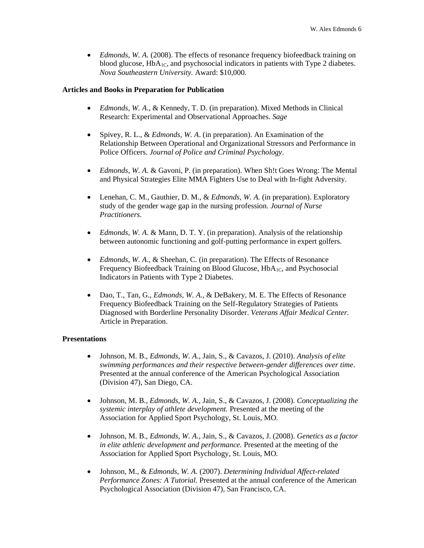• *Edmonds*, *W. A*. (2008). The effects of resonance frequency biofeedback training on blood glucose,  $HbA_{1C}$ , and psychosocial indicators in patients with Type 2 diabetes. *Nova Southeastern University.* Award: \$10,000.

## **Articles and Books in Preparation for Publication**

- *Edmonds, W. A*., & Kennedy, T. D. (in preparation). Mixed Methods in Clinical Research: Experimental and Observational Approaches. *Sage*
- Spivey, R. L., & *Edmonds, W. A*. (in preparation). An Examination of the Relationship Between Operational and Organizational Stressors and Performance in Police Officers. *Journal of Police and Criminal Psychology*.
- *Edmonds, W. A*. & Gavoni, P. (in preparation). When Sh!t Goes Wrong: The Mental and Physical Strategies Elite MMA Fighters Use to Deal with In-fight Adversity.
- Lenehan, C. M., Gauthier, D. M., & *Edmonds, W. A.* (in preparation). Exploratory study of the gender wage gap in the nursing profession. *Journal of Nurse Practitioners*.
- *Edmonds, W. A*. & Mann, D. T. Y. (in preparation). Analysis of the relationship between autonomic functioning and golf-putting performance in expert golfers.
- *Edmonds*, *W. A*., & Sheehan, C. (in preparation). The Effects of Resonance Frequency Biofeedback Training on Blood Glucose, HbA<sub>1C</sub>, and Psychosocial Indicators in Patients with Type 2 Diabetes.
- Dao, T., Tan, G., *Edmonds, W. A.*, & DeBakery, M. E. The Effects of Resonance Frequency Biofeedback Training on the Self-Regulatory Strategies of Patients Diagnosed with Borderline Personality Disorder. *Veterans Affair Medical Center.* Article in Preparation.

## **Presentations**

- Johnson, M. B., *Edmonds, W. A*., Jain, S., & Cavazos, J. (2010). *Analysis of elite swimming performances and their respective between-gender differences over time*. Presented at the annual conference of the American Psychological Association (Division 47), San Diego, CA.
- Johnson, M. B*., Edmonds, W. A.,* Jain, S., & Cavazos, J. (2008). *Conceptualizing the systemic interplay of athlete development.* Presented at the meeting of the Association for Applied Sport Psychology, St. Louis, MO.
- Johnson, M. B., *Edmonds, W. A.,* Jain, S., & Cavazos, J. (2008). *Genetics as a factor in elite athletic development and performance.* Presented at the meeting of the Association for Applied Sport Psychology, St. Louis, MO.
- Johnson, M., & *Edmonds, W. A.* (2007). *Determining Individual Affect-related Performance Zones: A Tutorial.* Presented at the annual conference of the American Psychological Association (Division 47), San Francisco, CA.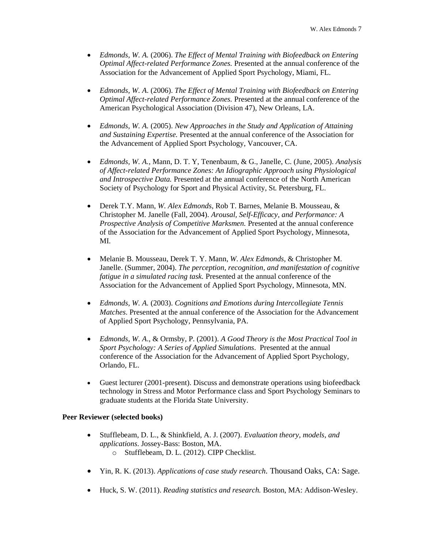- *Edmonds, W. A.* (2006). *The Effect of Mental Training with Biofeedback on Entering Optimal Affect-related Performance Zones.* Presented at the annual conference of the Association for the Advancement of Applied Sport Psychology, Miami, FL.
- *Edmonds, W. A*. (2006). *The Effect of Mental Training with Biofeedback on Entering Optimal Affect-related Performance Zones.* Presented at the annual conference of the American Psychological Association (Division 47), New Orleans, LA.
- *Edmonds, W. A.* (2005). *New Approaches in the Study and Application of Attaining and Sustaining Expertise.* Presented at the annual conference of the Association for the Advancement of Applied Sport Psychology, Vancouver, CA.
- *Edmonds, W. A.,* Mann, D. T. Y, Tenenbaum, & G., Janelle, C. (June, 2005). *Analysis of Affect-related Performance Zones: An Idiographic Approach using Physiological and Introspective Data.* Presented at the annual conference of the North American Society of Psychology for Sport and Physical Activity, St. Petersburg, FL.
- Derek T.Y. Mann, *W. Alex Edmonds*, Rob T. Barnes, Melanie B. Mousseau, & Christopher M. Janelle (Fall, 2004). *Arousal, Self-Efficacy, and Performance: A Prospective Analysis of Competitive Marksmen.* Presented at the annual conference of the Association for the Advancement of Applied Sport Psychology, Minnesota, MI.
- Melanie B. Mousseau, Derek T. Y. Mann, *W. Alex Edmonds,* & Christopher M. Janelle. (Summer, 2004). *The perception, recognition, and manifestation of cognitive fatigue in a simulated racing task.* Presented at the annual conference of the Association for the Advancement of Applied Sport Psychology, Minnesota, MN.
- *Edmonds, W. A.* (2003). *Cognitions and Emotions during Intercollegiate Tennis Matches*. Presented at the annual conference of the Association for the Advancement of Applied Sport Psychology, Pennsylvania, PA.
- *Edmonds, W. A*., & Ormsby, P. (2001). *A Good Theory is the Most Practical Tool in Sport Psychology: A Series of Applied Simulations*. Presented at the annual conference of the Association for the Advancement of Applied Sport Psychology, Orlando, FL.
- Guest lecturer (2001-present). Discuss and demonstrate operations using biofeedback technology in Stress and Motor Performance class and Sport Psychology Seminars to graduate students at the Florida State University.

## **Peer Reviewer (selected books)**

- Stufflebeam, D. L., & Shinkfield, A. J. (2007). *Evaluation theory, models, and applications*. Jossey-Bass: Boston, MA.
	- o Stufflebeam, D. L. (2012). CIPP Checklist.
- Yin, R. K. (2013). *Applications of case study research.* Thousand Oaks, CA: Sage.
- Huck, S. W. (2011). *Reading statistics and research.* Boston, MA: Addison-Wesley.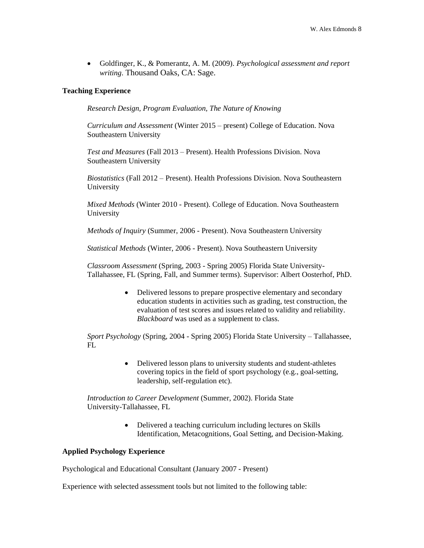• Goldfinger, K., & Pomerantz, A. M. (2009). *Psychological assessment and report writing*. Thousand Oaks, CA: Sage.

# **Teaching Experience**

*Research Design, Program Evaluation, The Nature of Knowing* 

*Curriculum and Assessment* (Winter 2015 – present) College of Education. Nova Southeastern University

*Test and Measures* (Fall 2013 – Present). Health Professions Division. Nova Southeastern University

*Biostatistics* (Fall 2012 – Present). Health Professions Division. Nova Southeastern University

*Mixed Methods* (Winter 2010 - Present). College of Education. Nova Southeastern University

*Methods of Inquiry* (Summer, 2006 - Present). Nova Southeastern University

*Statistical Methods* (Winter, 2006 - Present). Nova Southeastern University

*Classroom Assessment* (Spring, 2003 - Spring 2005) Florida State University-Tallahassee, FL (Spring, Fall, and Summer terms). Supervisor: Albert Oosterhof, PhD.

> • Delivered lessons to prepare prospective elementary and secondary education students in activities such as grading, test construction, the evaluation of test scores and issues related to validity and reliability. *Blackboard* was used as a supplement to class.

*Sport Psychology* (Spring, 2004 - Spring 2005) Florida State University – Tallahassee,  $FL$ 

> • Delivered lesson plans to university students and student-athletes covering topics in the field of sport psychology (e.g., goal-setting, leadership, self-regulation etc).

*Introduction to Career Development* (Summer, 2002). Florida State University-Tallahassee, FL

> • Delivered a teaching curriculum including lectures on Skills Identification, Metacognitions, Goal Setting, and Decision-Making.

### **Applied Psychology Experience**

Psychological and Educational Consultant (January 2007 - Present)

Experience with selected assessment tools but not limited to the following table: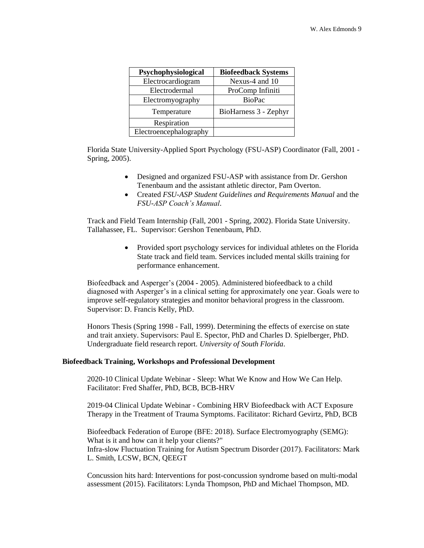| Psychophysiological    | <b>Biofeedback Systems</b> |
|------------------------|----------------------------|
| Electrocardiogram      | Nexus-4 and 10             |
| Electrodermal          | ProComp Infiniti           |
| Electromyography       | <b>BioPac</b>              |
| Temperature            | BioHarness 3 - Zephyr      |
| Respiration            |                            |
| Electroencephalography |                            |

Florida State University-Applied Sport Psychology (FSU-ASP) Coordinator (Fall, 2001 - Spring, 2005).

- Designed and organized FSU-ASP with assistance from Dr. Gershon Tenenbaum and the assistant athletic director, Pam Overton.
- Created *FSU-ASP Student Guidelines and Requirements Manual* and the *FSU-ASP Coach's Manual*.

Track and Field Team Internship (Fall, 2001 - Spring, 2002). Florida State University. Tallahassee, FL. Supervisor: Gershon Tenenbaum, PhD.

> • Provided sport psychology services for individual athletes on the Florida State track and field team. Services included mental skills training for performance enhancement.

Biofeedback and Asperger's (2004 - 2005). Administered biofeedback to a child diagnosed with Asperger's in a clinical setting for approximately one year. Goals were to improve self-regulatory strategies and monitor behavioral progress in the classroom. Supervisor: D. Francis Kelly, PhD.

Honors Thesis (Spring 1998 - Fall, 1999). Determining the effects of exercise on state and trait anxiety. Supervisors: Paul E. Spector, PhD and Charles D. Spielberger, PhD. Undergraduate field research report. *University of South Florida*.

## **Biofeedback Training, Workshops and Professional Development**

2020-10 Clinical Update Webinar - Sleep: What We Know and How We Can Help. Facilitator: Fred Shaffer, PhD, BCB, BCB-HRV

2019-04 Clinical Update Webinar - Combining HRV Biofeedback with ACT Exposure Therapy in the Treatment of Trauma Symptoms. Facilitator: Richard Gevirtz, PhD, BCB

Biofeedback Federation of Europe (BFE: 2018). Surface Electromyography (SEMG): What is it and how can it help your clients?" Infra-slow Fluctuation Training for Autism Spectrum Disorder (2017). Facilitators: Mark L. Smith, LCSW, BCN, QEEGT

Concussion hits hard: Interventions for post-concussion syndrome based on multi-modal assessment (2015). Facilitators: Lynda Thompson, PhD and Michael Thompson, MD.